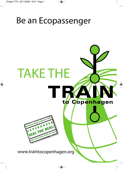◈

# Be an Ecopassenger

# TAKE THE to Copenhagen IN Climate Change Conference 20

www.traintocopenhagen.org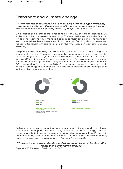## Transport and climate change

"Given the role that transport plays in causing greenhouse gas emissions, any serious action on climate change will zoom in on the transport sector" Yvo de Boer, Executive Secretary UNFCCC, Tokyo, January 2009

On a global scale, transport is responsible for 23% of carbon dioxide (CO2) emissions, which cause global warming. The real challenge lies in the fact that while other sectors have managed to reduce their emissions, the transport sector emissions have been steadily increasing. Curbing this increase and reducing transport emissions is one of the vital steps in combating global warming.

Despite all the technological advances, transport is not developing in a sustainable manner. The main reason is the enormous increase in demand for both passenger and freight services. Nowadays the road sector is responsible for over 80% of the sector's energy consumption. Emissions from the aviation sector are increasing rapidly. Today aviation is the second largest emitter of CO2, accounting for more than 13% of the total transportation energy used in Europe - emitting at a higher altitude and thus creating more damage than indicated by the percentage figure.



Railways are crucial in reducing greenhouse gas emissions and developing sustainable transport systems. They provide the most energy efficient performance both in passenger/km and tonnes/km. A journey from Brussels to Copenhagen by plane or car produces over 3.5 times more emissions than by train. (visit www.ecopassenger.org to find out for yourself!)

### "Transport energy use and carbon emissions are projected to be about 80% higher than current levels by 2030"

◈

Rajendra K. Pachauri, Chairman of IPCC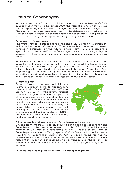# Train to Copenhagen

In the context of the forthcoming United Nations climate conference (COP15) in Copenhagen from 7-18 December 2009, the International Union of Railways (UIC) is organizing the Train to Copenhagen communications campaign. The aim is to increase awareness among the delegates and media of the transport sector's impact on climate change and to promote rail as part of the solution in reducing the transport sector's growing CO<sub>2</sub>-emissions.

### From Kyoto to Copenhagen

The Kyoto Protocol is due to expire at the end of 2012 and a new agreement will be decided upon in Copenhagen. To symbolise this progression to the next generation agreement on the future climate regime, UIC is organizing a symbolic rail journey from Kyoto to Copenhagen. In addition to being a physical journey, it will serve as an example of how to reduce emissions in a crucial sector.

In November 2009 a small team of environmental experts, NGOs and journalists will leave Kyoto and a few days later board the Trans-Siberian Express in Vladivostok. The group will stop at Irkutsk, Novosibirsk, Yekaterinburg, Novgorod and end their journey in Moscow 10 days later. Each stop will give the team an opportunity to meet the local environment authorities, experts and journalists, discover innovative railway technologies, and witness the impact of climate change on the Russian territories.

### Climate Express

From Moscow the team will join the "Climate Express" going to Copenhagen, thereby linking East and West via the Trans-Siberian Railway, one of the key international corridors bridging Asia and Europe. The Climate Express is an on-board conference on climate change with special focus on the role of transport, departing from Brussels on 5 December at 10.00 and arriving 12 hours later in Copenhagen. The 400 passengers will be a mix of high profile spokespeople, delegates, media and NGOs. The conference will consist of exhibitions, workshops and presentations.



### Bringing people to Copenhagen and Copenhagen to the people

UIC and its members will actively strive to bring people to Copenhagen and Copenhagen to the people in connection with COP15. This will include a number of UIC members conducting national versions of the Train to Copenhagen-campaign, offering special COP15 fares, including for people travelling to Copenhagen during the COP15 special trains for national delegations and various events to be held on trains and in stations. This will highlight the importance of reaching an agreement in Copenhagen, in close cooperation with United Nations Seal the Deal-campaign amongst other partners.

For more information please visit www.traintocopenhagen.org